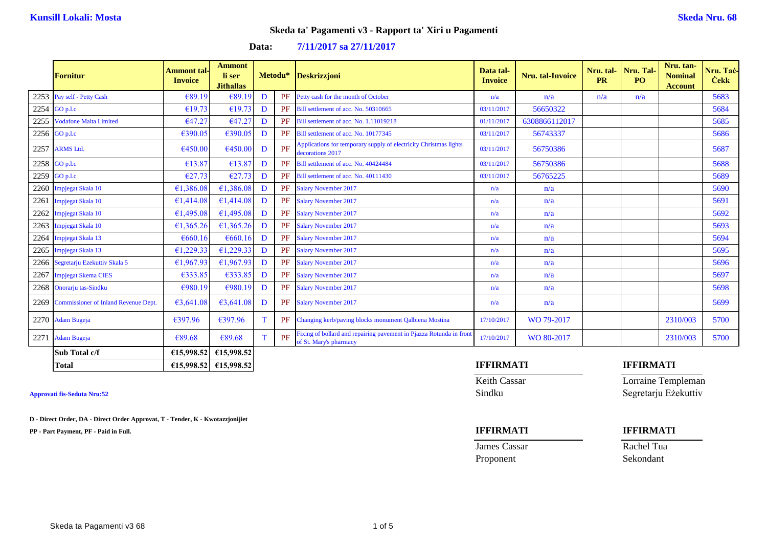## **Skeda ta' Pagamenti v3 - Rapport ta' Xiri u Pagamenti**

|      | <b>Fornitur</b>                           | Ammont tal <sub>'</sub><br><b>Invoice</b> | <b>Ammont</b><br>li ser<br><b>Jithallas</b> |          |    | Metodu* Deskrizzjoni                                                                          | Data tal-<br><b>Invoice</b> | Nru. tal-Invoice | Nru. tal-<br><b>PR</b> | Nru. Tal<br>P <sub>O</sub> | Nru. tan-<br><b>Nominal</b><br><b>Account</b> | Nru. Tac-<br><b>Cekk</b> |
|------|-------------------------------------------|-------------------------------------------|---------------------------------------------|----------|----|-----------------------------------------------------------------------------------------------|-----------------------------|------------------|------------------------|----------------------------|-----------------------------------------------|--------------------------|
|      | 2253 Pay self - Petty Cash                | €89.19                                    | €89.19                                      | D        | PF | Petty cash for the month of October                                                           | n/a                         | n/a              | n/a                    | n/a                        |                                               | 5683                     |
|      | 2254 $GO$ p.l.c                           | €19.73                                    | €19.73                                      | D        | PF | Bill settlement of acc. No. 50310665                                                          | 03/11/2017                  | 56650322         |                        |                            |                                               | 5684                     |
| 2255 | <b>Vodafone Malta Limited</b>             | €47.27                                    | €47.27                                      | D        | PF | Bill settlement of acc. No. 1.11019218                                                        | 01/11/2017                  | 6308866112017    |                        |                            |                                               | 5685                     |
|      | $2256$ GO p.l.c                           | €390.05                                   | €390.05                                     | D        | PF | Bill settlement of acc. No. 10177345                                                          | 03/11/2017                  | 56743337         |                        |                            |                                               | 5686                     |
|      | 2257 ARMS Ltd.                            | €450.00                                   | €450.00                                     | D        | PF | Applications for temporary supply of electricity Christmas lights<br>decorations 2017         | 03/11/2017                  | 56750386         |                        |                            |                                               | 5687                     |
|      | 2258 GO p.l.c                             | €13.87                                    | €13.87                                      | D        | PF | Bill settlement of acc. No. 40424484                                                          | 03/11/2017                  | 56750386         |                        |                            |                                               | 5688                     |
|      | 2259 GO p.l.c                             | €27.73                                    | €27.73                                      | D        | PF | Bill settlement of acc. No. 40111430                                                          | 03/11/2017                  | 56765225         |                        |                            |                                               | 5689                     |
|      | 2260 Impjegat Skala 10                    | €1,386.08                                 | €1,386.08                                   | D        | PF | <b>Salary November 2017</b>                                                                   | n/a                         | n/a              |                        |                            |                                               | 5690                     |
| 2261 | <b>Impjegat Skala 10</b>                  | €1,414.08                                 | €1.414.08                                   | D        | PF | <b>Salary November 2017</b>                                                                   | n/a                         | n/a              |                        |                            |                                               | 5691                     |
| 2262 | Impjegat Skala 10                         | €1,495.08                                 | €1,495.08                                   | D        | PF | <b>Salary November 2017</b>                                                                   | n/a                         | n/a              |                        |                            |                                               | 5692                     |
| 2263 | Impjegat Skala 10                         | €1,365.26                                 | €1,365.26                                   | D        | PF | <b>Salary November 2017</b>                                                                   | n/a                         | n/a              |                        |                            |                                               | 5693                     |
|      | 2264 Impjegat Skala 13                    | €660.16                                   | €660.16                                     | D        | PF | <b>Salary November 2017</b>                                                                   | n/a                         | n/a              |                        |                            |                                               | 5694                     |
| 2265 | Impjegat Skala 13                         | €1,229.33                                 | €1,229.33                                   | D        | PF | <b>Salary November 2017</b>                                                                   | n/a                         | n/a              |                        |                            |                                               | 5695                     |
|      | 2266 Segretarju Ezekuttiv Skala 5         | €1,967.93                                 | €1,967.93                                   | D        | PF | <b>Salary November 2017</b>                                                                   | n/a                         | n/a              |                        |                            |                                               | 5696                     |
| 2267 | <b>Impjegat Skema CIES</b>                | €333.85                                   | €333.85                                     | D        | PF | <b>Salary November 2017</b>                                                                   | n/a                         | n/a              |                        |                            |                                               | 5697                     |
|      | 2268 Onorarju tas-Sindku                  | €980.19                                   | €980.19                                     | D        | PF | <b>Salary November 2017</b>                                                                   | n/a                         | n/a              |                        |                            |                                               | 5698                     |
|      | 2269 Commissioner of Inland Revenue Dept. | €3,641.08                                 | €3,641.08                                   | D        |    | PF Salary November 2017                                                                       | n/a                         | n/a              |                        |                            |                                               | 5699                     |
|      | 2270 Adam Bugeja                          | €397.96                                   | €397.96                                     | т        | PF | Changing kerb/paving blocks monument Qalbiena Mostina                                         | 17/10/2017                  | WO 79-2017       |                        |                            | 2310/003                                      | 5700                     |
|      | 2271 Adam Bugeja                          | €89.68                                    | €89.68                                      | <b>T</b> | PF | Fixing of bollard and repairing pavement in Pjazza Rotunda in front<br>of St. Mary's pharmacy | 17/10/2017                  | WO 80-2017       |                        |                            | 2310/003                                      | 5700                     |
|      | Sub Total c/f                             | £15,998.52                                | €15,998.52                                  |          |    |                                                                                               |                             |                  |                        |                            |                                               |                          |
|      | <b>Total</b>                              |                                           | $E15,998.52$ $E15,998.52$                   |          |    |                                                                                               | <b>IFFIRMATI</b>            |                  |                        | <b>IFFIRMATI</b>           |                                               |                          |

**D - Direct Order, DA - Direct Order Approvat, T - Tender, K - Kwotazzjonijiet**

**PP - Part Payment, PF - Paid in Full. IFFIRMATI IFFIRMATI**

Keith Cassar **Lorraine Templeman Approvati fis-Seduta Nru:52** Sindku Segretarju Eżekuttiv

**James Cassar Rachel Tua** Proponent Sekondant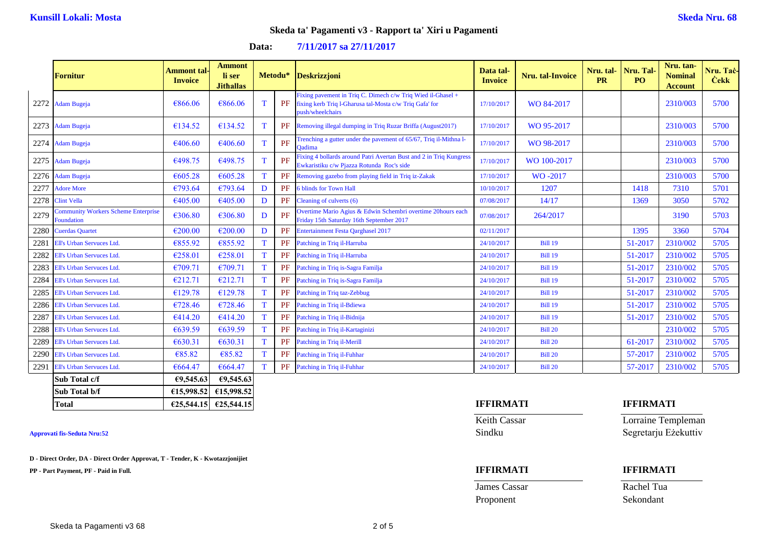### **Skeda ta' Pagamenti v3 - Rapport ta' Xiri u Pagamenti**

### **Data: 7/11/2017 sa 27/11/2017**

|      | <b>Fornitur</b>                                          | <b>Ammont</b> tal-<br><b>Invoice</b> | <b>Ammont</b><br>li ser<br><b>Jithallas</b> |   | Metodu*   | <b>Deskrizzjoni</b>                                                                                                                        | Data tal-<br><b>Invoice</b> | Nru. tal-Invoice | Nru. tal-<br><b>PR</b> | Nru. Tal<br>PO <sub>1</sub> | Nru. tan-<br><b>Nominal</b><br><b>Account</b> | Nru. Taċ-<br><b>Čekk</b> |
|------|----------------------------------------------------------|--------------------------------------|---------------------------------------------|---|-----------|--------------------------------------------------------------------------------------------------------------------------------------------|-----------------------------|------------------|------------------------|-----------------------------|-----------------------------------------------|--------------------------|
| 2272 | <b>Adam Bugeja</b>                                       | €866.06                              | €866.06                                     | T | PF        | Fixing pavement in Triq C. Dimech c/w Triq Wied il-Ghasel +<br>fixing kerb Triq l-Gharusa tal-Mosta c/w Triq Gafa' for<br>push/wheelchairs | 17/10/2017                  | WO 84-2017       |                        |                             | 2310/003                                      | 5700                     |
| 2273 | <b>Adam Bugeja</b>                                       | €134.52                              | €134.52                                     | T | PF        | Removing illegal dumping in Triq Ruzar Briffa (August2017)                                                                                 | 17/10/2017                  | WO 95-2017       |                        |                             | 2310/003                                      | 5700                     |
| 2274 | <b>Adam Bugeja</b>                                       | €406.60                              | €406.60                                     | T | PF        | Trenching a gutter under the pavement of 65/67, Triq il-Mithna l-<br><b>Oadima</b>                                                         | 17/10/2017                  | WO 98-2017       |                        |                             | 2310/003                                      | 5700                     |
| 2275 | <b>Adam Bugeja</b>                                       | €498.75                              | €498.75                                     | т | PF        | Fixing 4 bollards around Patri Avertan Bust and 2 in Triq Kungress<br>Ewkaristiku c/w Pjazza Rotunda Roc's side                            | 17/10/2017                  | WO 100-2017      |                        |                             | 2310/003                                      | 5700                     |
| 2276 | <b>Adam Bugeja</b>                                       | € $605.28$                           | €605.28                                     | T | PF        | Removing gazebo from playing field in Triq iz-Zakak                                                                                        | 17/10/2017                  | WO-2017          |                        |                             | 2310/003                                      | 5700                     |
| 2277 | <b>Adore More</b>                                        | €793.64                              | €793.64                                     | D | PF        | 6 blinds for Town Hall                                                                                                                     | 10/10/2017                  | 1207             |                        | 1418                        | 7310                                          | 5701                     |
| 2278 | <b>Clint Vella</b>                                       | €405.00                              | €405.00                                     | D | PF        | Cleaning of culverts (6)                                                                                                                   | 07/08/2017                  | 14/17            |                        | 1369                        | 3050                                          | 5702                     |
| 2279 | <b>Community Workers Scheme Enterprise</b><br>Foundation | €306.80                              | €306.80                                     | D | PF        | Overtime Mario Agius & Edwin Schembri overtime 20hours each<br>Friday 15th Saturday 16th September 2017                                    | 07/08/2017                  | 264/2017         |                        |                             | 3190                                          | 5703                     |
| 2280 | <b>Cuerdas Quartet</b>                                   | €200.00                              | €200.00                                     | D | PF        | <b>Entertainment Festa Qarghasel 2017</b>                                                                                                  | 02/11/2017                  |                  |                        | 1395                        | 3360                                          | 5704                     |
| 2281 | Ell's Urban Servuces Ltd.                                | €855.92                              | €855.92                                     | T | PF        | Patching in Triq il-Harruba                                                                                                                | 24/10/2017                  | <b>Bill 19</b>   |                        | 51-2017                     | 2310/002                                      | 5705                     |
| 2282 | Ell's Urban Servuces Ltd.                                | €258.01                              | €258.01                                     | T | PF        | Patching in Triq il-Harruba                                                                                                                | 24/10/2017                  | <b>Bill 19</b>   |                        | 51-2017                     | 2310/002                                      | 5705                     |
| 2283 | Ell's Urban Servuces Ltd.                                | €709.71                              | €709.71                                     | T | PF        | Patching in Triq is-Sagra Familja                                                                                                          | 24/10/2017                  | <b>Bill 19</b>   |                        | 51-2017                     | 2310/002                                      | 5705                     |
| 2284 | Ell's Urban Servuces Ltd.                                | €212.71                              | €212.71                                     | T | PF        | Patching in Triq is-Sagra Familja                                                                                                          | 24/10/2017                  | <b>Bill 19</b>   |                        | 51-2017                     | 2310/002                                      | 5705                     |
| 2285 | Ell's Urban Servuces Ltd.                                | €129.78                              | €129.78                                     | T | PF        | Patching in Triq taz-Zebbug                                                                                                                | 24/10/2017                  | <b>Bill 19</b>   |                        | 51-2017                     | 2310/002                                      | 5705                     |
| 2286 | Ell's Urban Servuces Ltd.                                | €728.46                              | €728.46                                     | T | PF        | Patching in Triq il-Bdiewa                                                                                                                 | 24/10/2017                  | <b>Bill 19</b>   |                        | 51-2017                     | 2310/002                                      | 5705                     |
| 2287 | Ell's Urban Servuces Ltd.                                | €414.20                              | €414.20                                     | T | PF        | Patching in Triq il-Bidnija                                                                                                                | 24/10/2017                  | <b>Bill 19</b>   |                        | 51-2017                     | 2310/002                                      | 5705                     |
| 2288 | Ell's Urban Servuces Ltd.                                | €639.59                              | € $639.59$                                  | T | PF        | Patching in Triq il-Kartaginizi                                                                                                            | 24/10/2017                  | <b>Bill 20</b>   |                        |                             | 2310/002                                      | 5705                     |
| 2289 | Ell's Urban Servuces Ltd.                                | €630.31                              | €630.31                                     | T | PF        | Patching in Triq il-Merill                                                                                                                 | 24/10/2017                  | <b>Bill 20</b>   |                        | 61-2017                     | 2310/002                                      | 5705                     |
| 2290 | <b>Ell's Urban Servuces Ltd.</b>                         | €85.82                               | €85.82                                      | T | PF        | Patching in Triq il-Fuhhar                                                                                                                 | 24/10/2017                  | <b>Bill 20</b>   |                        | 57-2017                     | 2310/002                                      | 5705                     |
| 2291 | Ell's Urban Servuces Ltd.                                | €664.47                              | €664.47                                     | T | <b>PF</b> | Patching in Triq il-Fuhhar                                                                                                                 | 24/10/2017                  | <b>Bill 20</b>   |                        | 57-2017                     | 2310/002                                      | 5705                     |
|      | Sub Total c/f                                            | €9,545.63                            | 69,545.63                                   |   |           |                                                                                                                                            |                             |                  |                        |                             |                                               |                          |

| Approvati fis-Seduta Nru:52 |  |
|-----------------------------|--|

**D - Direct Order, DA - Direct Order Approvat, T - Tender, K - Kwotazzjonijiet**

**Sub Total b/f €15,998.52 €15,998.52**

**PP - Part Payment, PF - Paid in Full. IFFIRMATI IFFIRMATI**

| <b>Total</b> | £25.544.15 | £25,544,15 | I EEI DALA TI<br>IVI A<br>'' | <b>IFFIRMATI</b> |
|--------------|------------|------------|------------------------------|------------------|
|--------------|------------|------------|------------------------------|------------------|

**James Cassar** Rachel Tua Proponent Sekondant

Keith Cassar **Lorraine Templeman Approvati fis-Seduta Nru:52** Sindku Segretarju Eżekuttiv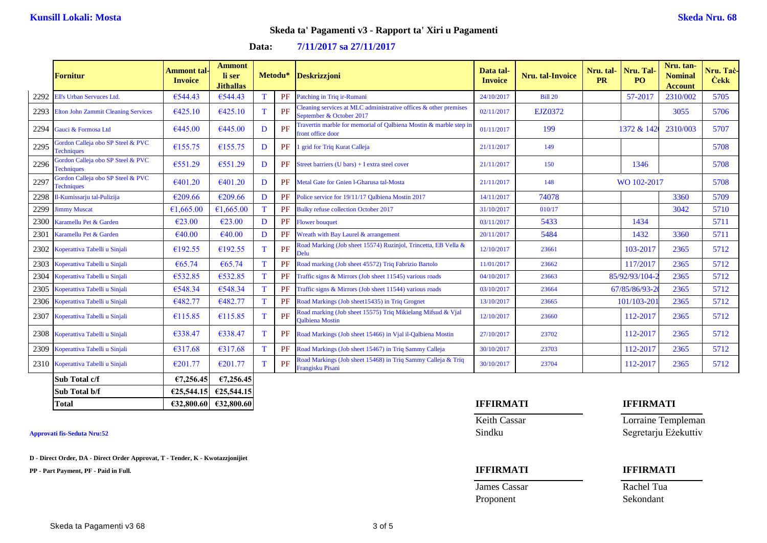### **Skeda ta' Pagamenti v3 - Rapport ta' Xiri u Pagamenti**

### **Data: 7/11/2017 sa 27/11/2017**

|      | <b>Fornitur</b>                                        | <b>Ammont</b> tal-<br><b>Invoice</b> | <b>Ammont</b><br>li ser<br><b>Jithallas</b> | Metodu*      |    | <b>Deskrizzjoni</b>                                                                             | Data tal-<br><b>Invoice</b> | Nru. tal-Invoice | Nru. tal-<br><b>PR</b> | Nru. Tal<br>PO <sub>1</sub> | Nru. tan-<br><b>Nominal</b><br><b>Account</b> | Nru. Taċ-<br><b>Cekk</b> |
|------|--------------------------------------------------------|--------------------------------------|---------------------------------------------|--------------|----|-------------------------------------------------------------------------------------------------|-----------------------------|------------------|------------------------|-----------------------------|-----------------------------------------------|--------------------------|
| 2292 | Ell's Urban Servuces Ltd.                              | €544.43                              | €544.43                                     | T            | PF | Patching in Triq ir-Rumani                                                                      | 24/10/2017                  | <b>Bill 20</b>   |                        | 57-2017                     | 2310/002                                      | 5705                     |
|      | 2293 Elton John Zammit Cleaning Services               | €425.10                              | €425.10                                     | $\mathbf T$  | PF | Cleaning services at MLC administrative offices $\&$ other premises<br>September & October 2017 | 02/11/2017                  | EJZ0372          |                        |                             | 3055                                          | 5706                     |
| 2294 | Gauci & Formosa Ltd                                    | €445.00                              | €445.00                                     | D            | PF | Travertin marble for memorial of Qalbiena Mostin & marble step in<br>front office door          | 01/11/2017                  | 199              |                        | 1372 & 142                  | 2310/003                                      | 5707                     |
| 2295 | Gordon Calleja obo SP Steel & PVC<br><b>Techniques</b> | €155.75                              | €155.75                                     | D            | PF | 1 grid for Triq Kurat Calleja                                                                   | 21/11/2017                  | 149              |                        |                             |                                               | 5708                     |
| 2296 | Gordon Calleja obo SP Steel & PVC<br><b>Techniques</b> | €551.29                              | €551.29                                     | D            | PF | Street barriers (U bars) + I extra steel cover                                                  | 21/11/2017                  | 150              |                        | 1346                        |                                               | 5708                     |
| 2297 | Gordon Calleja obo SP Steel & PVC<br><b>Techniques</b> | €401.20                              | €401.20                                     | D            | PF | Metal Gate for Gnien I-Gharusa tal-Mosta                                                        | 21/11/2017                  | 148              |                        | WO 102-2017                 |                                               | 5708                     |
| 2298 | Il-Kumissarju tal-Pulizija                             | €209.66                              | €209.66                                     | D            | PF | Police service for 19/11/17 Qalbiena Mostin 2017                                                | 14/11/2017                  | 74078            |                        |                             | 3360                                          | 5709                     |
| 2299 | <b>Jimmy Muscat</b>                                    | €1.665.00                            | €1,665.00                                   | T            | PF | <b>Bulky refuse collection October 2017</b>                                                     | 31/10/2017                  | 010/17           |                        |                             | 3042                                          | 5710                     |
| 2300 | Karamellu Pet & Garden                                 | €23.00                               | $\epsilon$ 23.00                            | D            | PF | <b>Flower bouquet</b>                                                                           | 03/11/2017                  | 5433             |                        | 1434                        |                                               | 5711                     |
| 2301 | Karamellu Pet & Garden                                 | €40.00                               | €40.00                                      | D            | PF | Wreath with Bay Laurel & arrangement                                                            | 20/11/2017                  | 5484             |                        | 1432                        | 3360                                          | 5711                     |
| 2302 | Koperattiva Tabelli u Sinjali                          | €192.55                              | €192.55                                     | $\mathbf{T}$ | PF | Road Marking (Job sheet 15574) Ruzinjol, Trincetta, EB Vella &<br>Delu                          | 12/10/2017                  | 23661            |                        | 103-2017                    | 2365                                          | 5712                     |
| 2303 | Koperattiva Tabelli u Sinjali                          | €65.74                               | €65.74                                      | T            | PF | Road marking (Job sheet 45572) Triq Fabrizio Bartolo                                            | 11/01/2017                  | 23662            |                        | 117/2017                    | 2365                                          | 5712                     |
| 2304 | Koperattiva Tabelli u Sinjali                          | €532.85                              | €532.85                                     | T            | PF | Traffic signs & Mirrors (Job sheet 11545) various roads                                         | 04/10/2017                  | 23663            |                        | 85/92/93/104-2              | 2365                                          | 5712                     |
| 2305 | Koperattiva Tabelli u Sinjali                          | €548.34                              | €548.34                                     | T            | PF | Traffic signs & Mirrors (Job sheet 11544) various roads                                         | 03/10/2017                  | 23664            |                        | 67/85/86/93-2               | 2365                                          | 5712                     |
| 2306 | Koperattiva Tabelli u Sinjali                          | €482.77                              | €482.77                                     | T            | PF | Road Markings (Job sheet15435) in Triq Grognet                                                  | 13/10/2017                  | 23665            |                        | 101/103-201                 | 2365                                          | 5712                     |
| 2307 | Koperattiva Tabelli u Sinjali                          | €115.85                              | €115.85                                     | T            | PF | Road marking (Job sheet 15575) Triq Mikielang Mifsud & Vjal<br><b>Oalbiena</b> Mostin           | 12/10/2017                  | 23660            |                        | 112-2017                    | 2365                                          | 5712                     |
|      | 2308 Koperattiva Tabelli u Sinjali                     | €338.47                              | €338.47                                     | T            | PF | Road Markings (Job sheet 15466) in Vial il-Qalbiena Mostin                                      | 27/10/2017                  | 23702            |                        | 112-2017                    | 2365                                          | 5712                     |
| 2309 | Koperattiva Tabelli u Sinjali                          | €317.68                              | €317.68                                     | T            | PF | Road Markings (Job sheet 15467) in Triq Sammy Calleja                                           | 30/10/2017                  | 23703            |                        | 112-2017                    | 2365                                          | 5712                     |
|      | 2310 Koperattiva Tabelli u Sinjali                     | €201.77                              | €201.77                                     | T            | PF | Road Markings (Job sheet 15468) in Triq Sammy Calleja & Triq<br>Frangisku Pisani                | 30/10/2017                  | 23704            |                        | 112-2017                    | 2365                                          | 5712                     |
|      | Sub Total c/f                                          | €7,256.45                            | €7,256.45                                   |              |    |                                                                                                 |                             |                  |                        |                             |                                               |                          |

**D - Direct Order, DA - Direct Order Approvat, T - Tender, K - Kwotazzjonijiet**

**Sub Total b/f €25,544.15 €25,544.15**

**PP - Part Payment, PF - Paid in Full. IFFIRMATI IFFIRMATI**

### **Total €32,800.60 €32,800.60 IFFIRMATI IFFIRMATI**

**James Cassar** Rachel Tua Proponent Sekondant

Keith Cassar Lorraine Templeman **Approvati fis-Seduta Nru:52** Sindku Segretarju Eżekuttiv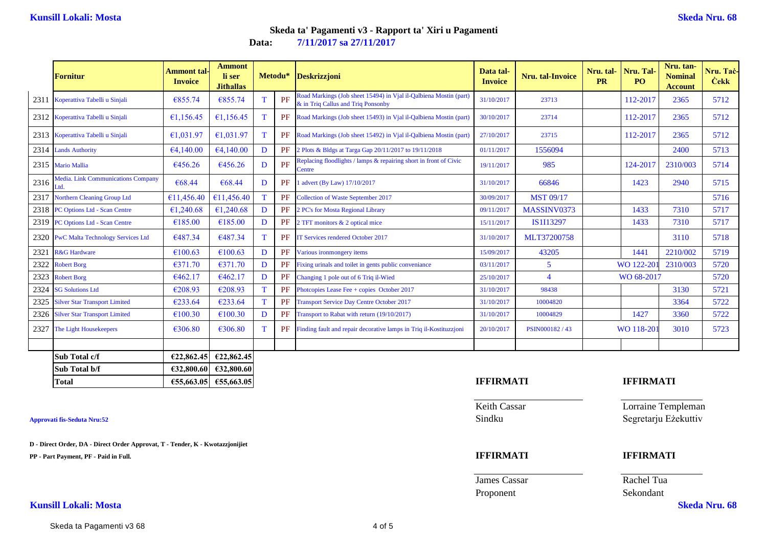# **Data: 7/11/2017 sa 27/11/2017 Skeda ta' Pagamenti v3 - Rapport ta' Xiri u Pagamenti**

|      | <b>Fornitur</b>                            | <b>Ammont tal-</b><br><b>Invoice</b> | <b>Ammont</b><br>li ser<br><b>Jithallas</b> |             | Metodu*   | <b>Deskrizzjoni</b>                                                                                    | Data tal-<br><b>Invoice</b> | Nru. tal-Invoice | Nru. tal-<br><b>PR</b> | Nru. Tal-<br>PO. | Nru. tan-<br><b>Nominal</b><br><b>Account</b> | Nru. Tac-<br><b>Cekk</b> |
|------|--------------------------------------------|--------------------------------------|---------------------------------------------|-------------|-----------|--------------------------------------------------------------------------------------------------------|-----------------------------|------------------|------------------------|------------------|-----------------------------------------------|--------------------------|
| 2311 | Koperattiva Tabelli u Sinjali              | €855.74                              | €855.74                                     | T           | PF        | Road Markings (Job sheet 15494) in Vjal il-Qalbiena Mostin (part<br>& in Triq Callus and Triq Ponsonby | 31/10/2017                  | 23713            |                        | 112-2017         | 2365                                          | 5712                     |
|      | 2312 Koperattiva Tabelli u Sinjali         | €1,156.45                            | €1,156.45                                   | T           |           | <b>PF</b> Road Markings (Job sheet 15493) in Vial il-Qalbiena Mostin (part)                            | 30/10/2017                  | 23714            |                        | 112-2017         | 2365                                          | 5712                     |
|      | 2313 Koperattiva Tabelli u Sinjali         | €1,031.97                            | €1,031.97                                   | T           | PF        | Road Markings (Job sheet 15492) in Vjal il-Qalbiena Mostin (part)                                      | 27/10/2017                  | 23715            |                        | 112-2017         | 2365                                          | 5712                     |
| 2314 | <b>Lands Authority</b>                     | €4,140.00                            | €4,140.00                                   | D           | PF        | 2 Plots & Bldgs at Targa Gap 20/11/2017 to 19/11/2018                                                  | 01/11/2017                  | 1556094          |                        |                  | 2400                                          | 5713                     |
|      | 2315 Mario Mallia                          | €456.26                              | €456.26                                     | D           | PF        | Replacing floodlights / lamps & repairing short in front of Civic<br>Centre                            | 19/11/2017                  | 985              |                        | 124-2017         | 2310/003                                      | 5714                     |
| 2316 | Media. Link Communications Company<br>Ltd. | €68.44                               | €68.44                                      | D           | PF        | advert (By Law) 17/10/2017                                                                             | 31/10/2017                  | 66846            |                        | 1423             | 2940                                          | 5715                     |
| 2317 | <b>Northern Cleaning Group Ltd</b>         | €11,456.40                           | €11,456.40                                  | T           | PF        | <b>Collection of Waste September 2017</b>                                                              | 30/09/2017                  | <b>MST 09/17</b> |                        |                  |                                               | 5716                     |
| 2318 | <b>PC Options Ltd - Scan Centre</b>        | €1,240.68                            | €1,240.68                                   | D           | PF        | 2 PC's for Mosta Regional Library                                                                      | 09/11/2017                  | MASSINV0373      |                        | 1433             | 7310                                          | 5717                     |
| 2319 | <b>PC Options Ltd - Scan Centre</b>        | €185.00                              | €185.00                                     | D           | PF        | 2 TFT monitors & 2 optical mice                                                                        | 15/11/2017                  | IS1I13297        |                        | 1433             | 7310                                          | 5717                     |
| 2320 | <b>PwC Malta Technology Services Ltd</b>   | €487.34                              | €487.34                                     | $\mathbf T$ | PF        | <b>TT Services rendered October 2017</b>                                                               | 31/10/2017                  | MLT37200758      |                        |                  | 3110                                          | 5718                     |
| 2321 | <b>R&amp;G Hardware</b>                    | €100.63                              | €100.63                                     | D           | PF        | Various ironmongery items                                                                              | 15/09/2017                  | 43205            |                        | 1441             | 2210/002                                      | 5719                     |
| 2322 | <b>Robert Borg</b>                         | €371.70                              | €371.70                                     | D           | PF        | Fixing urinals and toilet in gents public conveniance                                                  | 03/11/2017                  | 5                |                        | WO 122-20        | 2310/003                                      | 5720                     |
| 2323 | <b>Robert Borg</b>                         | €462.17                              | €462.17                                     | D           | PF        | Changing 1 pole out of 6 Triq il-Wied                                                                  | 25/10/2017                  | $\overline{4}$   |                        | WO 68-2017       |                                               | 5720                     |
| 2324 | <b>SG Solutions Ltd</b>                    | €208.93                              | €208.93                                     | T           | PF        | Photcopies Lease Fee + copies October 2017                                                             | 31/10/2017                  | 98438            |                        |                  | 3130                                          | 5721                     |
| 2325 | <b>Silver Star Transport Limited</b>       | €233.64                              | €233.64                                     | T           | PF        | <b>Transport Service Day Centre October 2017</b>                                                       | 31/10/2017                  | 10004820         |                        |                  | 3364                                          | 5722                     |
| 2326 | <b>Silver Star Transport Limited</b>       | €100.30                              | €100.30                                     | D           | PF        | Transport to Rabat with return (19/10/2017)                                                            | 31/10/2017                  | 10004829         |                        | 1427             | 3360                                          | 5722                     |
| 2327 | The Light Housekeepers                     | €306.80                              | €306.80                                     | T           | <b>PF</b> | Finding fault and repair decorative lamps in Triq il-Kostituzzioni                                     | 20/10/2017                  | PSIN000182/43    |                        | WO 118-20        | 3010                                          | 5723                     |
|      |                                            |                                      |                                             |             |           |                                                                                                        |                             |                  |                        |                  |                                               |                          |
|      | Sub Total c/f                              | €22,862.45                           | €22,862.45                                  |             |           |                                                                                                        |                             |                  |                        |                  |                                               |                          |
|      | Sub Total b/f                              |                                      | $E32,800.60$ $E32,800.60$                   |             |           |                                                                                                        |                             |                  |                        |                  |                                               |                          |

**D - Direct Order, DA - Direct Order Approvat, T - Tender, K - Kwotazzjonijiet**

**PP - Part Payment, PF - Paid in Full. IFFIRMATI IFFIRMATI**

**Kunsill Lokali: Mosta Skeda Nru. 68**

**Total €55,663.05 €55,663.05 IFFIRMATI IFFIRMATI**

Keith Cassar **Lorraine Templeman Approvati fis-Seduta Nru:52** Sindku Segretarju Eżekuttiv

**James Cassar Rachel Tua** Proponent Sekondant